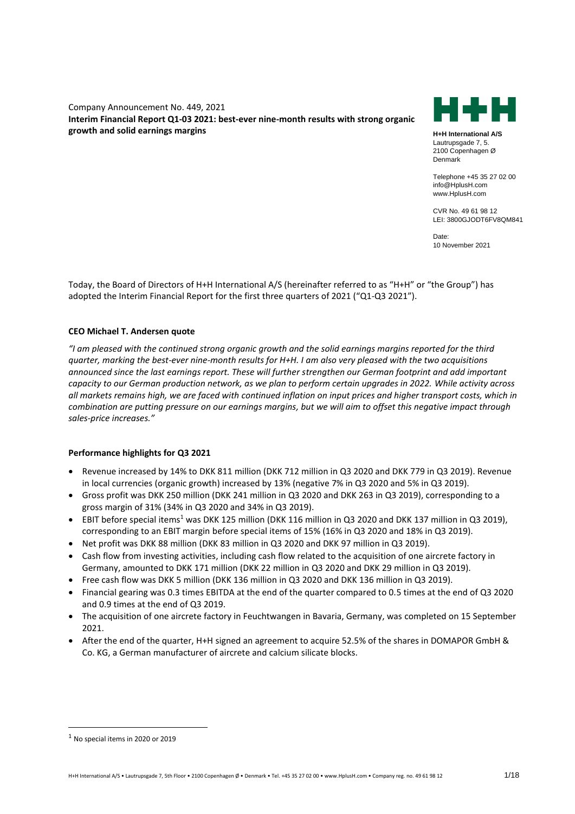Company Announcement No. 449, 2021 **Interim Financial Report Q1-03 2021: best-ever nine-month results with strong organic growth and solid earnings margins**



**H+H International A/S** Lautrupsgade 7, 5. 2100 Copenhagen Ø Denmark

Telephone +45 35 27 02 00 info@HplusH.com www.HplusH.com

CVR No. 49 61 98 12 LEI: 3800GJODT6FV8QM841

Date: 10 November 2021

Today, the Board of Directors of H+H International A/S (hereinafter referred to as "H+H" or "the Group") has adopted the Interim Financial Report for the first three quarters of 2021 ("Q1-Q3 2021").

## **CEO Michael T. Andersen quote**

*"I am pleased with the continued strong organic growth and the solid earnings margins reported for the third quarter, marking the best-ever nine-month results for H+H. I am also very pleased with the two acquisitions announced since the last earnings report. These will further strengthen our German footprint and add important capacity to our German production network, as we plan to perform certain upgrades in 2022. While activity across all markets remains high, we are faced with continued inflation on input prices and higher transport costs, which in combination are putting pressure on our earnings margins, but we will aim to offset this negative impact through sales-price increases."*

## **Performance highlights for Q3 2021**

- Revenue increased by 14% to DKK 811 million (DKK 712 million in Q3 2020 and DKK 779 in Q3 2019). Revenue in local currencies (organic growth) increased by 13% (negative 7% in Q3 2020 and 5% in Q3 2019).
- Gross profit was DKK 250 million (DKK 241 million in Q3 2020 and DKK 263 in Q3 2019), corresponding to a gross margin of 31% (34% in Q3 2020 and 34% in Q3 2019).
- EBIT before special items<sup>1</sup> was DKK 125 million (DKK 116 million in Q3 2020 and DKK 137 million in Q3 2019), corresponding to an EBIT margin before special items of 15% (16% in Q3 2020 and 18% in Q3 2019).
- Net profit was DKK 88 million (DKK 83 million in Q3 2020 and DKK 97 million in Q3 2019).
- Cash flow from investing activities, including cash flow related to the acquisition of one aircrete factory in Germany, amounted to DKK 171 million (DKK 22 million in Q3 2020 and DKK 29 million in Q3 2019).
- Free cash flow was DKK 5 million (DKK 136 million in Q3 2020 and DKK 136 million in Q3 2019).
- Financial gearing was 0.3 times EBITDA at the end of the quarter compared to 0.5 times at the end of Q3 2020 and 0.9 times at the end of Q3 2019.
- The acquisition of one aircrete factory in Feuchtwangen in Bavaria, Germany, was completed on 15 September 2021.
- After the end of the quarter, H+H signed an agreement to acquire 52.5% of the shares in DOMAPOR GmbH & Co. KG, a German manufacturer of aircrete and calcium silicate blocks.

 $<sup>1</sup>$  No special items in 2020 or 2019</sup>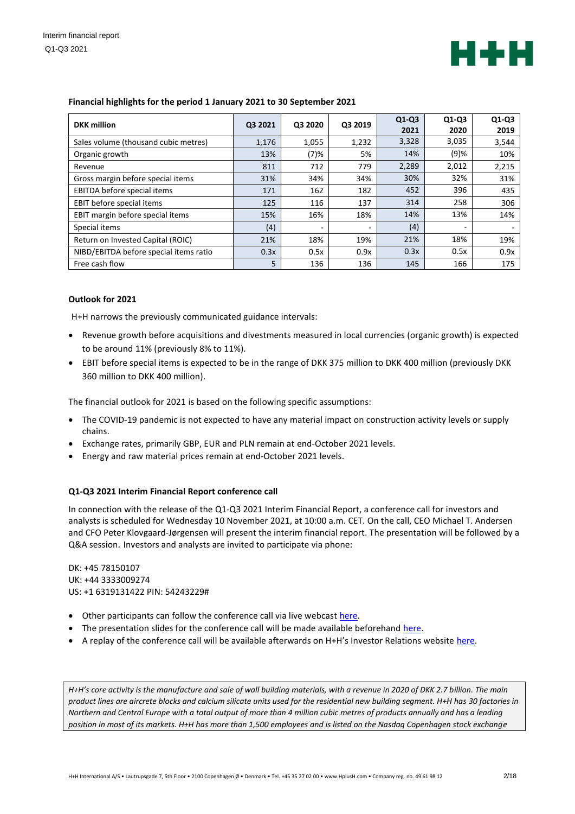

| <b>DKK</b> million                     | Q3 2021 | Q3 2020 | Q3 2019 | $Q1-Q3$<br>2021 | $Q1-Q3$<br>2020 | $Q1-Q3$<br>2019 |
|----------------------------------------|---------|---------|---------|-----------------|-----------------|-----------------|
| Sales volume (thousand cubic metres)   | 1,176   | 1,055   | 1.232   | 3,328           | 3,035           | 3,544           |
| Organic growth                         | 13%     | (7)%    | 5%      | 14%             | (9)%            | 10%             |
| Revenue                                | 811     | 712     | 779     | 2,289           | 2,012           | 2,215           |
| Gross margin before special items      | 31%     | 34%     | 34%     | 30%             | 32%             | 31%             |
| EBITDA before special items            | 171     | 162     | 182     | 452             | 396             | 435             |
| EBIT before special items              | 125     | 116     | 137     | 314             | 258             | 306             |
| EBIT margin before special items       | 15%     | 16%     | 18%     | 14%             | 13%             | 14%             |
| Special items                          | (4)     |         |         | (4)             |                 |                 |
| Return on Invested Capital (ROIC)      | 21%     | 18%     | 19%     | 21%             | 18%             | 19%             |
| NIBD/EBITDA before special items ratio | 0.3x    | 0.5x    | 0.9x    | 0.3x            | 0.5x            | 0.9x            |
| Free cash flow                         | 5       | 136     | 136     | 145             | 166             | 175             |

## **Financial highlights for the period 1 January 2021 to 30 September 2021**

## **Outlook for 2021**

H+H narrows the previously communicated guidance intervals:

- Revenue growth before acquisitions and divestments measured in local currencies (organic growth) is expected to be around 11% (previously 8% to 11%).
- EBIT before special items is expected to be in the range of DKK 375 million to DKK 400 million (previously DKK 360 million to DKK 400 million).

The financial outlook for 2021 is based on the following specific assumptions:

- The COVID-19 pandemic is not expected to have any material impact on construction activity levels or supply chains.
- Exchange rates, primarily GBP, EUR and PLN remain at end-October 2021 levels.
- Energy and raw material prices remain at end-October 2021 levels.

#### **Q1-Q3 2021 Interim Financial Report conference call**

In connection with the release of the Q1-Q3 2021 Interim Financial Report, a conference call for investors and analysts is scheduled for Wednesday 10 November 2021, at 10:00 a.m. CET. On the call, CEO Michael T. Andersen and CFO Peter Klovgaard-Jørgensen will present the interim financial report. The presentation will be followed by a Q&A session. Investors and analysts are invited to participate via phone:

DK: +45 78150107 UK: +44 3333009274 US: +1 6319131422 PIN: 54243229#

- Other participants can follow the conference call via live webcas[t here.](https://streams.eventcdn.net/hplush/2021q3)
- The presentation slides for the conference call will be made available beforehan[d here.](https://www.hplush.com/presentations)
- A replay of the conference call will be available afterwards on H+H's Investor Relations website [here.](https://www.hplush.com/presentations)

*H+H's core activity is the manufacture and sale of wall building materials, with a revenue in 2020 of DKK 2.7 billion. The main product lines are aircrete blocks and calcium silicate units used for the residential new building segment. H+H has 30 factories in Northern and Central Europe with a total output of more than 4 million cubic metres of products annually and has a leading position in most of its markets. H+H has more than 1,500 employees and is listed on the Nasdaq Copenhagen stock exchange*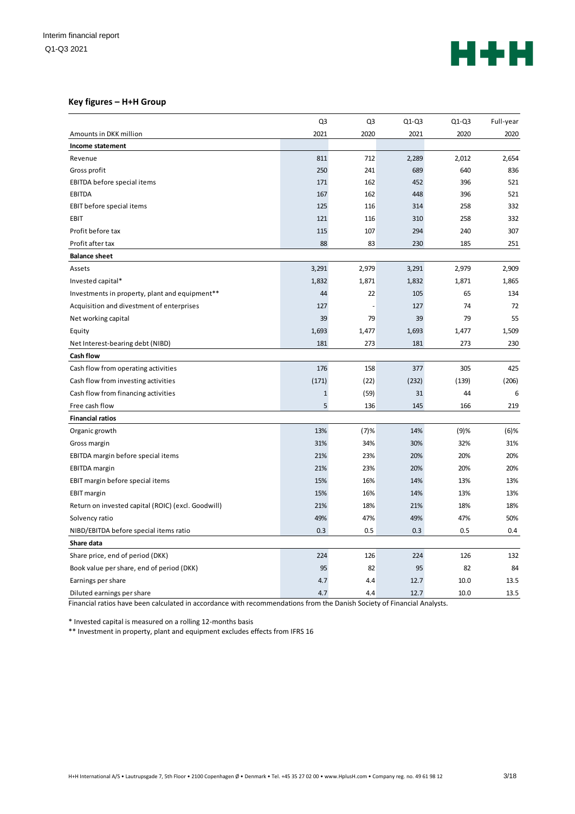

## **Key figures – H+H Group**

|                                                    | Q <sub>3</sub> | Q3    | $Q1-Q3$ | $Q1-Q3$ | Full-year |
|----------------------------------------------------|----------------|-------|---------|---------|-----------|
| Amounts in DKK million                             | 2021           | 2020  | 2021    | 2020    | 2020      |
| Income statement                                   |                |       |         |         |           |
| Revenue                                            | 811            | 712   | 2,289   | 2,012   | 2,654     |
| Gross profit                                       | 250            | 241   | 689     | 640     | 836       |
| EBITDA before special items                        | 171            | 162   | 452     | 396     | 521       |
| EBITDA                                             | 167            | 162   | 448     | 396     | 521       |
| EBIT before special items                          | 125            | 116   | 314     | 258     | 332       |
| EBIT                                               | 121            | 116   | 310     | 258     | 332       |
| Profit before tax                                  | 115            | 107   | 294     | 240     | 307       |
| Profit after tax                                   | 88             | 83    | 230     | 185     | 251       |
| <b>Balance sheet</b>                               |                |       |         |         |           |
| Assets                                             | 3,291          | 2,979 | 3,291   | 2,979   | 2,909     |
| Invested capital*                                  | 1,832          | 1,871 | 1,832   | 1,871   | 1,865     |
| Investments in property, plant and equipment**     | 44             | 22    | 105     | 65      | 134       |
| Acquisition and divestment of enterprises          | 127            |       | 127     | 74      | 72        |
| Net working capital                                | 39             | 79    | 39      | 79      | 55        |
| Equity                                             | 1,693          | 1,477 | 1,693   | 1,477   | 1,509     |
| Net Interest-bearing debt (NIBD)                   | 181            | 273   | 181     | 273     | 230       |
| Cash flow                                          |                |       |         |         |           |
| Cash flow from operating activities                | 176            | 158   | 377     | 305     | 425       |
| Cash flow from investing activities                | (171)          | (22)  | (232)   | (139)   | (206)     |
| Cash flow from financing activities                | $\mathbf{1}$   | (59)  | 31      | 44      | 6         |
| Free cash flow                                     | 5              | 136   | 145     | 166     | 219       |
| <b>Financial ratios</b>                            |                |       |         |         |           |
| Organic growth                                     | 13%            | (7)%  | 14%     | (9)%    | $(6)$ %   |
| Gross margin                                       | 31%            | 34%   | 30%     | 32%     | 31%       |
| EBITDA margin before special items                 | 21%            | 23%   | 20%     | 20%     | 20%       |
| <b>EBITDA</b> margin                               | 21%            | 23%   | 20%     | 20%     | 20%       |
| EBIT margin before special items                   | 15%            | 16%   | 14%     | 13%     | 13%       |
| <b>EBIT</b> margin                                 | 15%            | 16%   | 14%     | 13%     | 13%       |
| Return on invested capital (ROIC) (excl. Goodwill) | 21%            | 18%   | 21%     | 18%     | 18%       |
| Solvency ratio                                     | 49%            | 47%   | 49%     | 47%     | 50%       |
| NIBD/EBITDA before special items ratio             | 0.3            | 0.5   | 0.3     | 0.5     | 0.4       |
| Share data                                         |                |       |         |         |           |
| Share price, end of period (DKK)                   | 224            | 126   | 224     | 126     | 132       |
| Book value per share, end of period (DKK)          | 95             | 82    | 95      | 82      | 84        |
| Earnings per share                                 | 4.7            | 4.4   | 12.7    | 10.0    | 13.5      |
| Diluted earnings per share                         | 4.7            | 4.4   | 12.7    | 10.0    | 13.5      |

Financial ratios have been calculated in accordance with recommendations from the Danish Society of Financial Analysts.

\* Invested capital is measured on a rolling 12-months basis

\*\* Investment in property, plant and equipment excludes effects from IFRS 16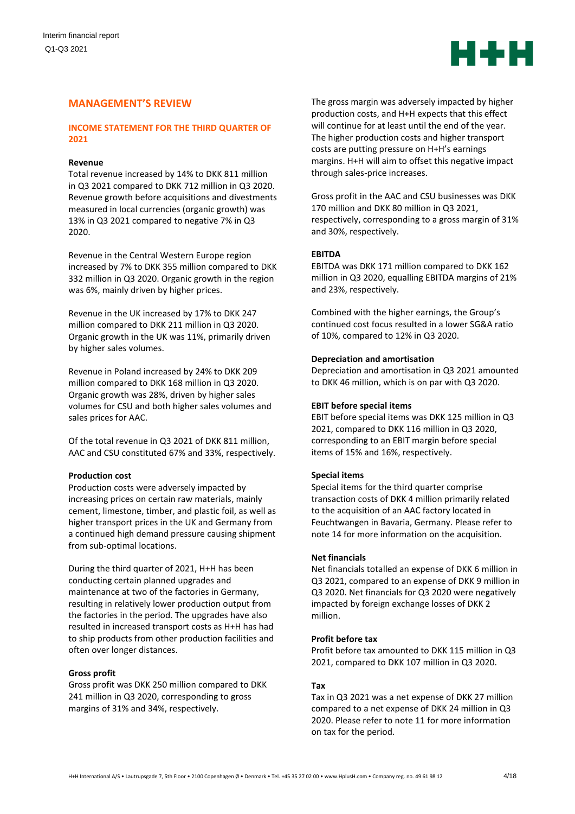

# **MANAGEMENT'S REVIEW**

## **INCOME STATEMENT FOR THE THIRD QUARTER OF 2021**

## **Revenue**

Total revenue increased by 14% to DKK 811 million in Q3 2021 compared to DKK 712 million in Q3 2020. Revenue growth before acquisitions and divestments measured in local currencies (organic growth) was 13% in Q3 2021 compared to negative 7% in Q3 2020.

Revenue in the Central Western Europe region increased by 7% to DKK 355 million compared to DKK 332 million in Q3 2020. Organic growth in the region was 6%, mainly driven by higher prices.

Revenue in the UK increased by 17% to DKK 247 million compared to DKK 211 million in Q3 2020. Organic growth in the UK was 11%, primarily driven by higher sales volumes.

Revenue in Poland increased by 24% to DKK 209 million compared to DKK 168 million in Q3 2020. Organic growth was 28%, driven by higher sales volumes for CSU and both higher sales volumes and sales prices for AAC.

Of the total revenue in Q3 2021 of DKK 811 million, AAC and CSU constituted 67% and 33%, respectively.

#### **Production cost**

Production costs were adversely impacted by increasing prices on certain raw materials, mainly cement, limestone, timber, and plastic foil, as well as higher transport prices in the UK and Germany from a continued high demand pressure causing shipment from sub-optimal locations.

During the third quarter of 2021, H+H has been conducting certain planned upgrades and maintenance at two of the factories in Germany, resulting in relatively lower production output from the factories in the period. The upgrades have also resulted in increased transport costs as H+H has had to ship products from other production facilities and often over longer distances.

#### **Gross profit**

Gross profit was DKK 250 million compared to DKK 241 million in Q3 2020, corresponding to gross margins of 31% and 34%, respectively.

The gross margin was adversely impacted by higher production costs, and H+H expects that this effect will continue for at least until the end of the year. The higher production costs and higher transport costs are putting pressure on H+H's earnings margins. H+H will aim to offset this negative impact through sales-price increases.

Gross profit in the AAC and CSU businesses was DKK 170 million and DKK 80 million in Q3 2021, respectively, corresponding to a gross margin of 31% and 30%, respectively.

#### **EBITDA**

EBITDA was DKK 171 million compared to DKK 162 million in Q3 2020, equalling EBITDA margins of 21% and 23%, respectively.

Combined with the higher earnings, the Group's continued cost focus resulted in a lower SG&A ratio of 10%, compared to 12% in Q3 2020.

#### **Depreciation and amortisation**

Depreciation and amortisation in Q3 2021 amounted to DKK 46 million, which is on par with Q3 2020.

#### **EBIT before special items**

EBIT before special items was DKK 125 million in Q3 2021, compared to DKK 116 million in Q3 2020, corresponding to an EBIT margin before special items of 15% and 16%, respectively.

#### **Special items**

Special items for the third quarter comprise transaction costs of DKK 4 million primarily related to the acquisition of an AAC factory located in Feuchtwangen in Bavaria, Germany. Please refer to note 14 for more information on the acquisition.

#### **Net financials**

Net financials totalled an expense of DKK 6 million in Q3 2021, compared to an expense of DKK 9 million in Q3 2020. Net financials for Q3 2020 were negatively impacted by foreign exchange losses of DKK 2 million.

## **Profit before tax**

Profit before tax amounted to DKK 115 million in Q3 2021, compared to DKK 107 million in Q3 2020.

## **Tax**

Tax in Q3 2021 was a net expense of DKK 27 million compared to a net expense of DKK 24 million in Q3 2020. Please refer to note 11 for more information on tax for the period.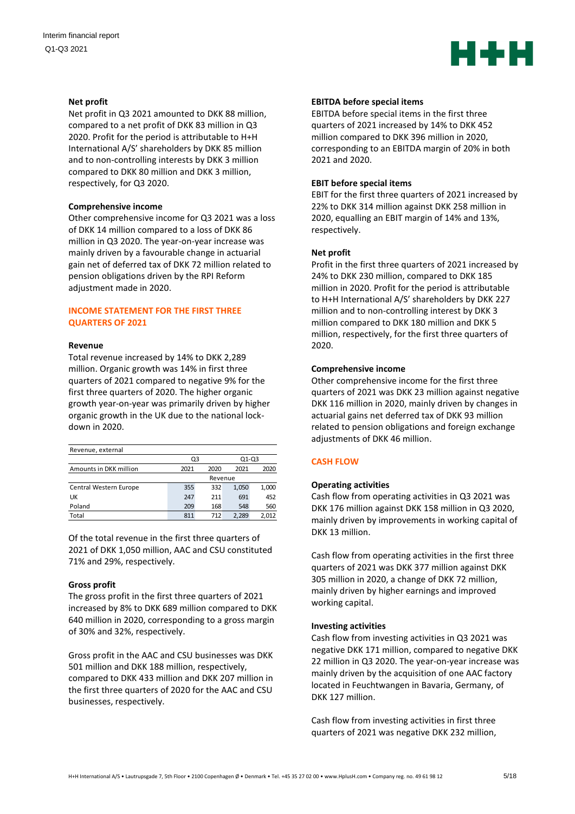

#### **Net profit**

Net profit in Q3 2021 amounted to DKK 88 million, compared to a net profit of DKK 83 million in Q3 2020. Profit for the period is attributable to H+H International A/S' shareholders by DKK 85 million and to non-controlling interests by DKK 3 million compared to DKK 80 million and DKK 3 million, respectively, for Q3 2020.

#### **Comprehensive income**

Other comprehensive income for Q3 2021 was a loss of DKK 14 million compared to a loss of DKK 86 million in Q3 2020. The year-on-year increase was mainly driven by a favourable change in actuarial gain net of deferred tax of DKK 72 million related to pension obligations driven by the RPI Reform adjustment made in 2020.

## **INCOME STATEMENT FOR THE FIRST THREE QUARTERS OF 2021**

#### **Revenue**

Total revenue increased by 14% to DKK 2,289 million. Organic growth was 14% in first three quarters of 2021 compared to negative 9% for the first three quarters of 2020. The higher organic growth year-on-year was primarily driven by higher organic growth in the UK due to the national lockdown in 2020.

| Revenue, external      |             |      |       |       |  |  |
|------------------------|-------------|------|-------|-------|--|--|
|                        | 01-03<br>Q3 |      |       |       |  |  |
| Amounts in DKK million | 2021        | 2020 | 2021  | 2020  |  |  |
|                        | Revenue     |      |       |       |  |  |
| Central Western Europe | 355         | 332  | 1,050 | 1,000 |  |  |
| UK                     | 247         | 211  | 691   | 452   |  |  |
| Poland                 | 209         | 168  | 548   | 560   |  |  |
| Total                  | 811         | 712  | 2.289 | 2.012 |  |  |

Of the total revenue in the first three quarters of 2021 of DKK 1,050 million, AAC and CSU constituted 71% and 29%, respectively.

## **Gross profit**

The gross profit in the first three quarters of 2021 increased by 8% to DKK 689 million compared to DKK 640 million in 2020, corresponding to a gross margin of 30% and 32%, respectively.

Gross profit in the AAC and CSU businesses was DKK 501 million and DKK 188 million, respectively, compared to DKK 433 million and DKK 207 million in the first three quarters of 2020 for the AAC and CSU businesses, respectively.

#### **EBITDA before special items**

EBITDA before special items in the first three quarters of 2021 increased by 14% to DKK 452 million compared to DKK 396 million in 2020, corresponding to an EBITDA margin of 20% in both 2021 and 2020.

## **EBIT before special items**

EBIT for the first three quarters of 2021 increased by 22% to DKK 314 million against DKK 258 million in 2020, equalling an EBIT margin of 14% and 13%, respectively.

## **Net profit**

Profit in the first three quarters of 2021 increased by 24% to DKK 230 million, compared to DKK 185 million in 2020. Profit for the period is attributable to H+H International A/S' shareholders by DKK 227 million and to non-controlling interest by DKK 3 million compared to DKK 180 million and DKK 5 million, respectively, for the first three quarters of 2020.

## **Comprehensive income**

Other comprehensive income for the first three quarters of 2021 was DKK 23 million against negative DKK 116 million in 2020, mainly driven by changes in actuarial gains net deferred tax of DKK 93 million related to pension obligations and foreign exchange adjustments of DKK 46 million.

## **CASH FLOW**

#### **Operating activities**

Cash flow from operating activities in Q3 2021 was DKK 176 million against DKK 158 million in Q3 2020, mainly driven by improvements in working capital of DKK 13 million.

Cash flow from operating activities in the first three quarters of 2021 was DKK 377 million against DKK 305 million in 2020, a change of DKK 72 million, mainly driven by higher earnings and improved working capital.

#### **Investing activities**

Cash flow from investing activities in Q3 2021 was negative DKK 171 million, compared to negative DKK 22 million in Q3 2020. The year-on-year increase was mainly driven by the acquisition of one AAC factory located in Feuchtwangen in Bavaria, Germany, of DKK 127 million.

Cash flow from investing activities in first three quarters of 2021 was negative DKK 232 million,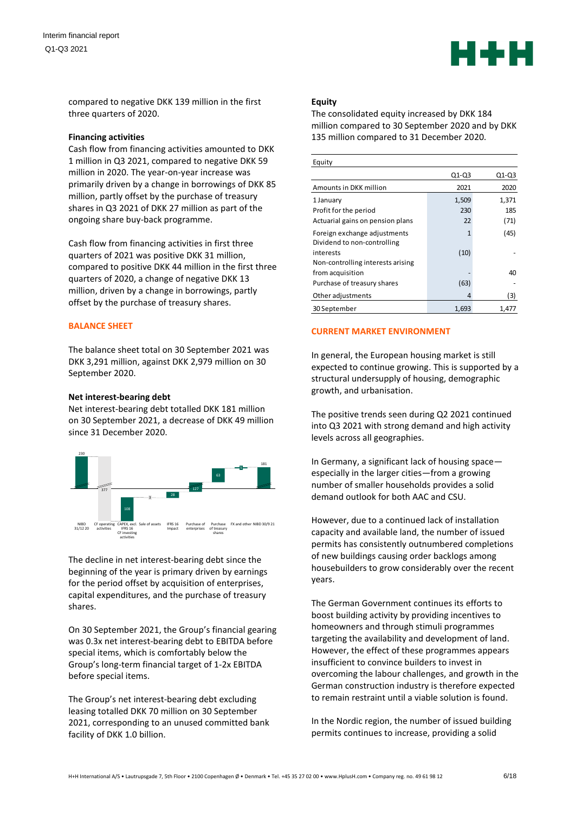

compared to negative DKK 139 million in the first three quarters of 2020.

#### **Financing activities**

Cash flow from financing activities amounted to DKK 1 million in Q3 2021, compared to negative DKK 59 million in 2020. The year-on-year increase was primarily driven by a change in borrowings of DKK 85 million, partly offset by the purchase of treasury shares in Q3 2021 of DKK 27 million as part of the ongoing share buy-back programme.

Cash flow from financing activities in first three quarters of 2021 was positive DKK 31 million, compared to positive DKK 44 million in the first three quarters of 2020, a change of negative DKK 13 million, driven by a change in borrowings, partly offset by the purchase of treasury shares.

## **BALANCE SHEET**

The balance sheet total on 30 September 2021 was DKK 3,291 million, against DKK 2,979 million on 30 September 2020.

## **Net interest-bearing debt**

Net interest-bearing debt totalled DKK 181 million on 30 September 2021, a decrease of DKK 49 million since 31 December 2020.



The decline in net interest-bearing debt since the beginning of the year is primary driven by earnings for the period offset by acquisition of enterprises, capital expenditures, and the purchase of treasury shares.

On 30 September 2021, the Group's financial gearing was 0.3x net interest-bearing debt to EBITDA before special items, which is comfortably below the Group's long-term financial target of 1-2x EBITDA before special items.

The Group's net interest-bearing debt excluding leasing totalled DKK 70 million on 30 September 2021, corresponding to an unused committed bank facility of DKK 1.0 billion.

#### **Equity**

The consolidated equity increased by DKK 184 million compared to 30 September 2020 and by DKK 135 million compared to 31 December 2020.

| Equity                                                      |              |         |
|-------------------------------------------------------------|--------------|---------|
|                                                             | $Q1-Q3$      | $Q1-Q3$ |
| Amounts in DKK million                                      | 2021         | 2020    |
| 1 January                                                   | 1,509        | 1,371   |
| Profit for the period                                       | 230          | 185     |
| Actuarial gains on pension plans                            | 22           | (71)    |
| Foreign exchange adjustments<br>Dividend to non-controlling | $\mathbf{1}$ | (45)    |
| interests                                                   | (10)         |         |
| Non-controlling interests arising                           |              |         |
| from acquisition                                            |              | 40      |
| Purchase of treasury shares                                 | (63)         |         |
| Other adjustments                                           | 4            | (3)     |
| 30 September                                                | 1,693        | 1,477   |

## **CURRENT MARKET ENVIRONMENT**

In general, the European housing market is still expected to continue growing. This is supported by a structural undersupply of housing, demographic growth, and urbanisation.

The positive trends seen during Q2 2021 continued into Q3 2021 with strong demand and high activity levels across all geographies.

In Germany, a significant lack of housing space especially in the larger cities—from a growing number of smaller households provides a solid demand outlook for both AAC and CSU.

However, due to a continued lack of installation capacity and available land, the number of issued permits has consistently outnumbered completions of new buildings causing order backlogs among housebuilders to grow considerably over the recent years.

The German Government continues its efforts to boost building activity by providing incentives to homeowners and through stimuli programmes targeting the availability and development of land. However, the effect of these programmes appears insufficient to convince builders to invest in overcoming the labour challenges, and growth in the German construction industry is therefore expected to remain restraint until a viable solution is found.

In the Nordic region, the number of issued building permits continues to increase, providing a solid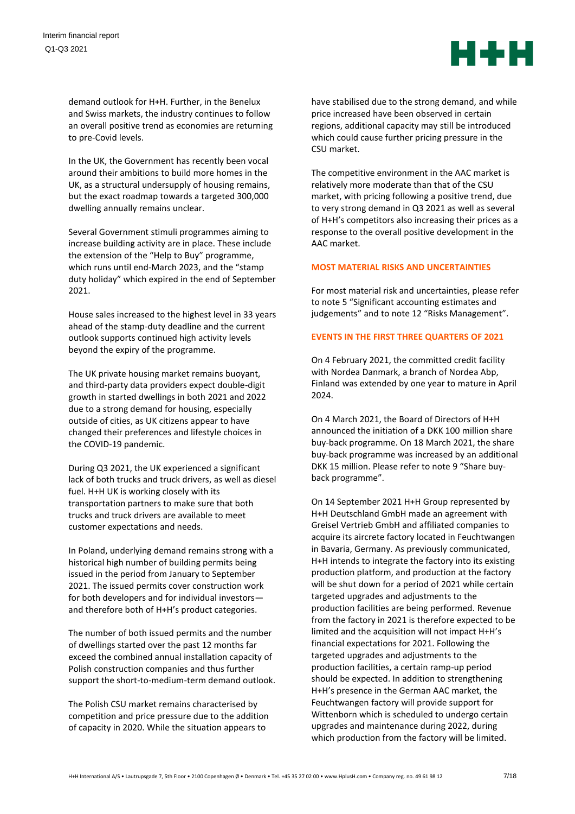

demand outlook for H+H. Further, in the Benelux and Swiss markets, the industry continues to follow an overall positive trend as economies are returning to pre-Covid levels.

In the UK, the Government has recently been vocal around their ambitions to build more homes in the UK, as a structural undersupply of housing remains, but the exact roadmap towards a targeted 300,000 dwelling annually remains unclear.

Several Government stimuli programmes aiming to increase building activity are in place. These include the extension of the "Help to Buy" programme, which runs until end-March 2023, and the "stamp duty holiday" which expired in the end of September 2021.

House sales increased to the highest level in 33 years ahead of the stamp-duty deadline and the current outlook supports continued high activity levels beyond the expiry of the programme.

The UK private housing market remains buoyant, and third-party data providers expect double-digit growth in started dwellings in both 2021 and 2022 due to a strong demand for housing, especially outside of cities, as UK citizens appear to have changed their preferences and lifestyle choices in the COVID-19 pandemic.

During Q3 2021, the UK experienced a significant lack of both trucks and truck drivers, as well as diesel fuel. H+H UK is working closely with its transportation partners to make sure that both trucks and truck drivers are available to meet customer expectations and needs.

In Poland, underlying demand remains strong with a historical high number of building permits being issued in the period from January to September 2021. The issued permits cover construction work for both developers and for individual investors and therefore both of H+H's product categories.

The number of both issued permits and the number of dwellings started over the past 12 months far exceed the combined annual installation capacity of Polish construction companies and thus further support the short-to-medium-term demand outlook.

The Polish CSU market remains characterised by competition and price pressure due to the addition of capacity in 2020. While the situation appears to

have stabilised due to the strong demand, and while price increased have been observed in certain regions, additional capacity may still be introduced which could cause further pricing pressure in the CSU market.

The competitive environment in the AAC market is relatively more moderate than that of the CSU market, with pricing following a positive trend, due to very strong demand in Q3 2021 as well as several of H+H's competitors also increasing their prices as a response to the overall positive development in the AAC market.

## **MOST MATERIAL RISKS AND UNCERTAINTIES**

For most material risk and uncertainties, please refer to note 5 "Significant accounting estimates and judgements" and to note 12 "Risks Management".

## **EVENTS IN THE FIRST THREE QUARTERS OF 2021**

On 4 February 2021, the committed credit facility with Nordea Danmark, a branch of Nordea Abp, Finland was extended by one year to mature in April 2024.

On 4 March 2021, the Board of Directors of H+H announced the initiation of a DKK 100 million share buy-back programme. On 18 March 2021, the share buy-back programme was increased by an additional DKK 15 million. Please refer to note 9 "Share buyback programme".

On 14 September 2021 H+H Group represented by H+H Deutschland GmbH made an agreement with Greisel Vertrieb GmbH and affiliated companies to acquire its aircrete factory located in Feuchtwangen in Bavaria, Germany. As previously communicated, H+H intends to integrate the factory into its existing production platform, and production at the factory will be shut down for a period of 2021 while certain targeted upgrades and adjustments to the production facilities are being performed. Revenue from the factory in 2021 is therefore expected to be limited and the acquisition will not impact H+H's financial expectations for 2021. Following the targeted upgrades and adjustments to the production facilities, a certain ramp-up period should be expected. In addition to strengthening H+H's presence in the German AAC market, the Feuchtwangen factory will provide support for Wittenborn which is scheduled to undergo certain upgrades and maintenance during 2022, during which production from the factory will be limited.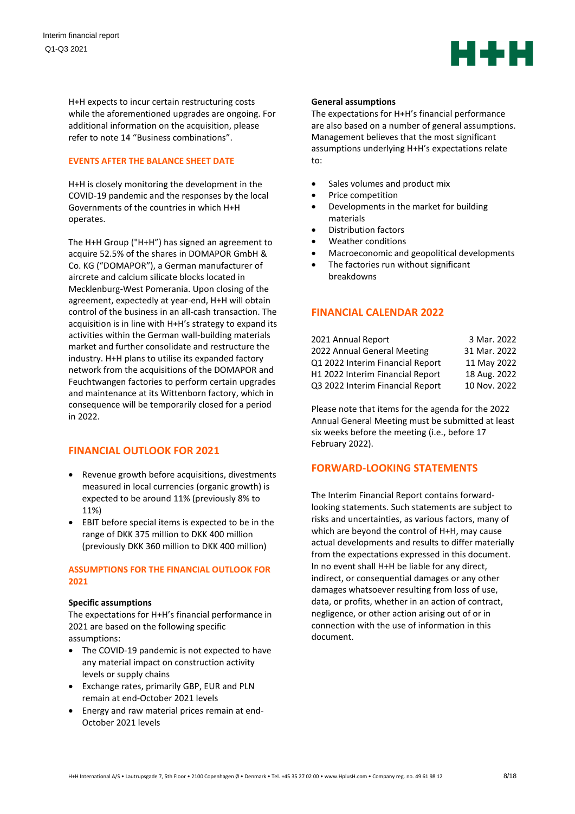

H+H expects to incur certain restructuring costs while the aforementioned upgrades are ongoing. For additional information on the acquisition, please refer to note 14 "Business combinations".

## **EVENTS AFTER THE BALANCE SHEET DATE**

H+H is closely monitoring the development in the COVID-19 pandemic and the responses by the local Governments of the countries in which H+H operates.

The H+H Group ("H+H") has signed an agreement to acquire 52.5% of the shares in DOMAPOR GmbH & Co. KG ("DOMAPOR"), a German manufacturer of aircrete and calcium silicate blocks located in Mecklenburg-West Pomerania. Upon closing of the agreement, expectedly at year-end, H+H will obtain control of the business in an all-cash transaction. The acquisition is in line with H+H's strategy to expand its activities within the German wall-building materials market and further consolidate and restructure the industry. H+H plans to utilise its expanded factory network from the acquisitions of the DOMAPOR and Feuchtwangen factories to perform certain upgrades and maintenance at its Wittenborn factory, which in consequence will be temporarily closed for a period in 2022.

# **FINANCIAL OUTLOOK FOR 2021**

- Revenue growth before acquisitions, divestments measured in local currencies (organic growth) is expected to be around 11% (previously 8% to 11%)
- EBIT before special items is expected to be in the range of DKK 375 million to DKK 400 million (previously DKK 360 million to DKK 400 million)

## **ASSUMPTIONS FOR THE FINANCIAL OUTLOOK FOR 2021**

#### **Specific assumptions**

The expectations for H+H's financial performance in 2021 are based on the following specific assumptions:

- The COVID-19 pandemic is not expected to have any material impact on construction activity levels or supply chains
- Exchange rates, primarily GBP, EUR and PLN remain at end-October 2021 levels
- Energy and raw material prices remain at end-October 2021 levels

#### **General assumptions**

The expectations for H+H's financial performance are also based on a number of general assumptions. Management believes that the most significant assumptions underlying H+H's expectations relate to:

- Sales volumes and product mix
- Price competition
- Developments in the market for building materials
- Distribution factors
- Weather conditions
- Macroeconomic and geopolitical developments
- The factories run without significant breakdowns

# **FINANCIAL CALENDAR 2022**

| 2021 Annual Report               | 3 Mar. 2022  |
|----------------------------------|--------------|
| 2022 Annual General Meeting      | 31 Mar. 2022 |
| Q1 2022 Interim Financial Report | 11 May 2022  |
| H1 2022 Interim Financial Report | 18 Aug. 2022 |
| Q3 2022 Interim Financial Report | 10 Nov. 2022 |

Please note that items for the agenda for the 2022 Annual General Meeting must be submitted at least six weeks before the meeting (i.e., before 17 February 2022).

# **FORWARD-LOOKING STATEMENTS**

The Interim Financial Report contains forwardlooking statements. Such statements are subject to risks and uncertainties, as various factors, many of which are beyond the control of H+H, may cause actual developments and results to differ materially from the expectations expressed in this document. In no event shall H+H be liable for any direct, indirect, or consequential damages or any other damages whatsoever resulting from loss of use, data, or profits, whether in an action of contract, negligence, or other action arising out of or in connection with the use of information in this document.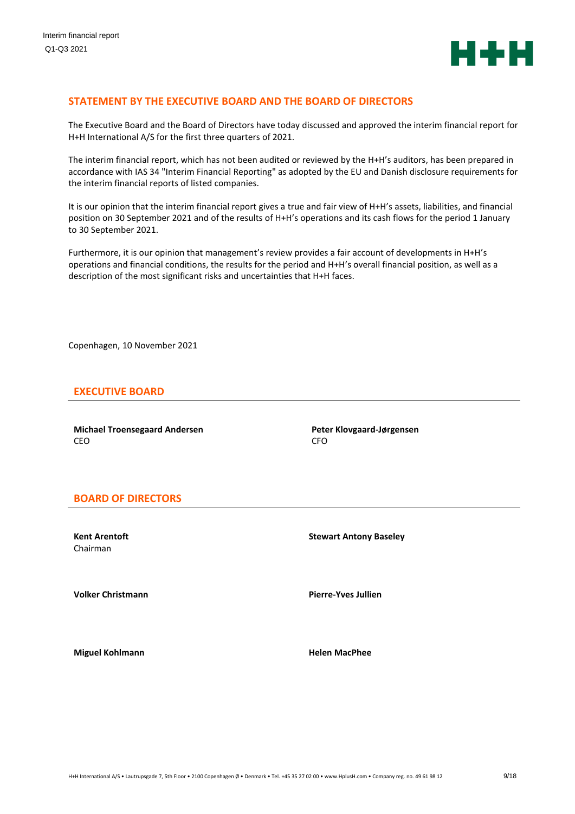

## **STATEMENT BY THE EXECUTIVE BOARD AND THE BOARD OF DIRECTORS**

The Executive Board and the Board of Directors have today discussed and approved the interim financial report for H+H International A/S for the first three quarters of 2021.

The interim financial report, which has not been audited or reviewed by the H+H's auditors, has been prepared in accordance with IAS 34 "Interim Financial Reporting" as adopted by the EU and Danish disclosure requirements for the interim financial reports of listed companies.

It is our opinion that the interim financial report gives a true and fair view of H+H's assets, liabilities, and financial position on 30 September 2021 and of the results of H+H's operations and its cash flows for the period 1 January to 30 September 2021.

Furthermore, it is our opinion that management's review provides a fair account of developments in H+H's operations and financial conditions, the results for the period and H+H's overall financial position, as well as a description of the most significant risks and uncertainties that H+H faces.

Copenhagen, 10 November 2021

## **EXECUTIVE BOARD**

**Michael Troensegaard Andersen** CEO

**Peter Klovgaard-Jørgensen** CFO

## **BOARD OF DIRECTORS**

**Kent Arentoft** Chairman

**Volker Christmann Pierre-Yves Jullien** 

**Stewart Antony Baseley**

**Miguel Kohlmann Helen MacPhee**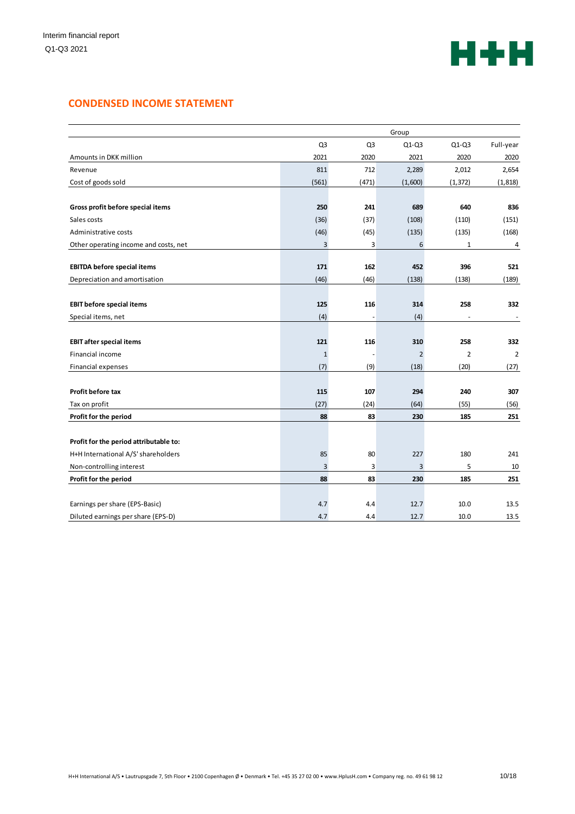

# **CONDENSED INCOME STATEMENT**

|                                        | Group          |                |                |                |                |
|----------------------------------------|----------------|----------------|----------------|----------------|----------------|
|                                        | Q <sub>3</sub> | Q <sub>3</sub> | $Q1-Q3$        | $Q1-Q3$        | Full-year      |
| Amounts in DKK million                 | 2021           | 2020           | 2021           | 2020           | 2020           |
| Revenue                                | 811            | 712            | 2,289          | 2,012          | 2,654          |
| Cost of goods sold                     | (561)          | (471)          | (1,600)        | (1, 372)       | (1, 818)       |
|                                        |                |                |                |                |                |
| Gross profit before special items      | 250            | 241            | 689            | 640            | 836            |
| Sales costs                            | (36)           | (37)           | (108)          | (110)          | (151)          |
| Administrative costs                   | (46)           | (45)           | (135)          | (135)          | (168)          |
| Other operating income and costs, net  | 3              | 3              | 6              | 1              | 4              |
|                                        |                |                |                |                |                |
| <b>EBITDA before special items</b>     | 171            | 162            | 452            | 396            | 521            |
| Depreciation and amortisation          | (46)           | (46)           | (138)          | (138)          | (189)          |
|                                        |                |                |                |                |                |
| <b>EBIT before special items</b>       | 125            | 116            | 314            | 258            | 332            |
| Special items, net                     | (4)            | $\overline{a}$ | (4)            |                |                |
| <b>EBIT after special items</b>        | 121            | 116            | 310            | 258            | 332            |
| Financial income                       | $\mathbf{1}$   |                | $\overline{2}$ | $\overline{2}$ | $\overline{2}$ |
| Financial expenses                     | (7)            | (9)            | (18)           | (20)           | (27)           |
|                                        |                |                |                |                |                |
| <b>Profit before tax</b>               | 115            | 107            | 294            | 240            | 307            |
| Tax on profit                          | (27)           | (24)           | (64)           | (55)           | (56)           |
| Profit for the period                  | 88             | 83             | 230            | 185            | 251            |
|                                        |                |                |                |                |                |
| Profit for the period attributable to: |                |                |                |                |                |
| H+H International A/S' shareholders    | 85             | 80             | 227            | 180            | 241            |
| Non-controlling interest               | 3              | 3              | 3              | 5              | 10             |
| Profit for the period                  | 88             | 83             | 230            | 185            | 251            |
|                                        |                |                |                |                |                |
| Earnings per share (EPS-Basic)         | 4.7            | 4.4            | 12.7           | 10.0           | 13.5           |
| Diluted earnings per share (EPS-D)     | 4.7            | 4.4            | 12.7           | 10.0           | 13.5           |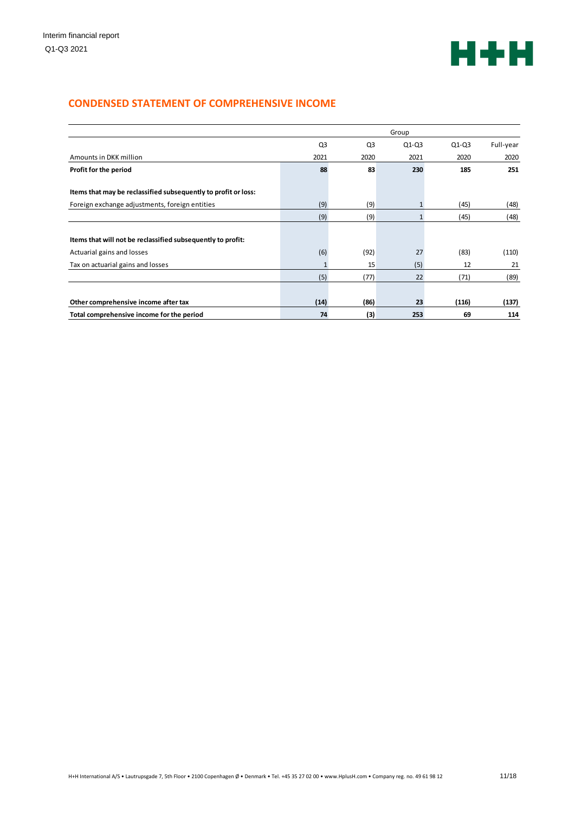

# **CONDENSED STATEMENT OF COMPREHENSIVE INCOME**

|                                                                | Group          |                |              |         |           |
|----------------------------------------------------------------|----------------|----------------|--------------|---------|-----------|
|                                                                | Q <sub>3</sub> | Q <sub>3</sub> | $Q1-Q3$      | $Q1-Q3$ | Full-year |
| Amounts in DKK million                                         | 2021           | 2020           | 2021         | 2020    | 2020      |
| Profit for the period                                          | 88             | 83             | 230          | 185     | 251       |
| Items that may be reclassified subsequently to profit or loss: |                |                |              |         |           |
| Foreign exchange adjustments, foreign entities                 | (9)            | (9)            | 1            | (45)    | (48)      |
|                                                                | (9)            | (9)            | $\mathbf{1}$ | (45)    | (48)      |
| Items that will not be reclassified subsequently to profit:    |                |                |              |         |           |
| Actuarial gains and losses                                     | (6)            | (92)           | 27           | (83)    | (110)     |
| Tax on actuarial gains and losses                              | 1              | 15             | (5)          | 12      | 21        |
|                                                                | (5)            | (77)           | 22           | (71)    | (89)      |
| Other comprehensive income after tax                           | (14)           | (86)           | 23           | (116)   | (137)     |
| Total comprehensive income for the period                      | 74             | (3)            | 253          | 69      | 114       |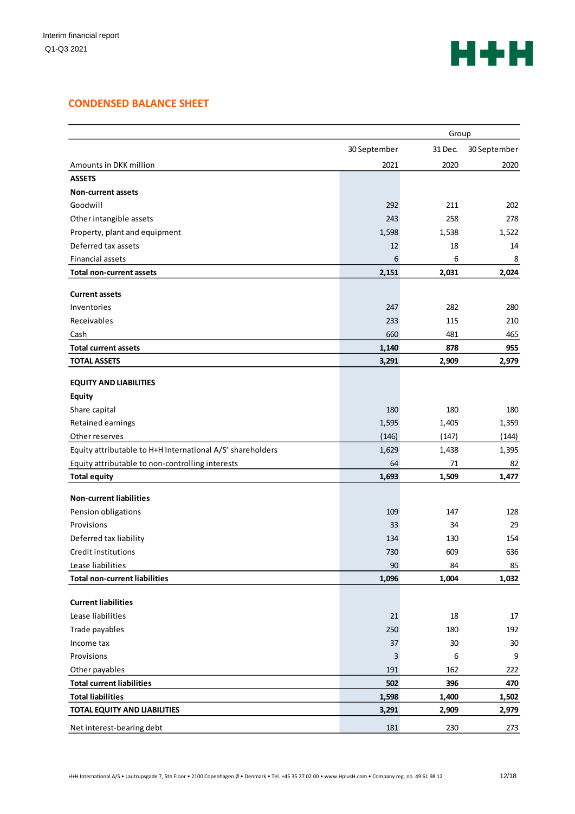

# **CONDENSED BALANCE SHEET**

|                                                            | Group        |         |              |
|------------------------------------------------------------|--------------|---------|--------------|
|                                                            | 30 September | 31 Dec. | 30 September |
| Amounts in DKK million                                     | 2021         | 2020    | 2020         |
| <b>ASSETS</b>                                              |              |         |              |
| <b>Non-current assets</b>                                  |              |         |              |
| Goodwill                                                   | 292          | 211     | 202          |
| Other intangible assets                                    | 243          | 258     | 278          |
| Property, plant and equipment                              | 1,598        | 1,538   | 1,522        |
| Deferred tax assets                                        | 12           | 18      | 14           |
| <b>Financial assets</b>                                    | 6            | 6       | 8            |
| <b>Total non-current assets</b>                            | 2,151        | 2,031   | 2,024        |
| <b>Current assets</b>                                      |              |         |              |
| Inventories                                                | 247          | 282     | 280          |
| Receivables                                                | 233          | 115     | 210          |
| Cash                                                       | 660          | 481     | 465          |
| <b>Total current assets</b>                                | 1,140        | 878     | 955          |
| <b>TOTAL ASSETS</b>                                        | 3,291        | 2,909   | 2,979        |
| <b>EQUITY AND LIABILITIES</b>                              |              |         |              |
| <b>Equity</b>                                              |              |         |              |
| Share capital                                              | 180          | 180     | 180          |
| Retained earnings                                          | 1,595        | 1,405   | 1,359        |
| Other reserves                                             | (146)        | (147)   | (144)        |
| Equity attributable to H+H International A/S' shareholders | 1,629        | 1,438   | 1,395        |
| Equity attributable to non-controlling interests           | 64           | 71      | 82           |
| <b>Total equity</b>                                        | 1,693        | 1,509   | 1,477        |
| <b>Non-current liabilities</b>                             |              |         |              |
| Pension obligations                                        | 109          | 147     | 128          |
| Provisions                                                 | 33           | 34      | 29           |
| Deferred tax liability                                     | 134          | 130     | 154          |
| <b>Credit institutions</b>                                 | 730          | 609     | 636          |
| Lease liabilities                                          | 90           | 84      | 85           |
| <b>Total non-current liabilities</b>                       | 1,096        | 1,004   | 1,032        |
| <b>Current liabilities</b>                                 |              |         |              |
| Lease liabilities                                          | 21           | 18      | 17           |
| Trade payables                                             | 250          | 180     | 192          |
| Income tax                                                 | 37           | 30      | 30           |
| Provisions                                                 | 3            | 6       | 9            |
| Other payables                                             | 191          | 162     | 222          |
| <b>Total current liabilities</b>                           | 502          | 396     | 470          |
| <b>Total liabilities</b>                                   | 1,598        | 1,400   | 1,502        |
| TOTAL EQUITY AND LIABILITIES                               | 3,291        | 2,909   | 2,979        |
| Net interest-bearing debt                                  | 181          | 230     | 273          |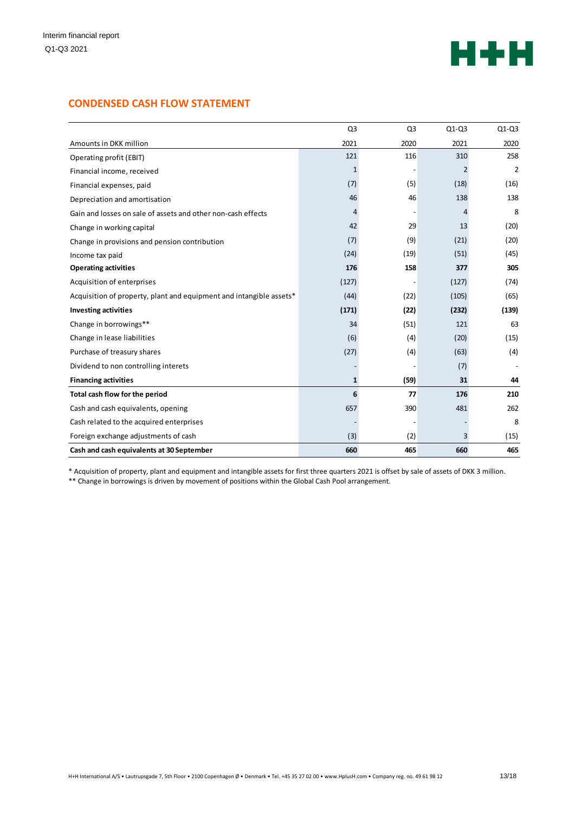

# **CONDENSED CASH FLOW STATEMENT**

|                                                                     | Q <sub>3</sub> | Q <sub>3</sub> | $Q1-Q3$ | $Q1-Q3$        |
|---------------------------------------------------------------------|----------------|----------------|---------|----------------|
| Amounts in DKK million                                              | 2021           | 2020           | 2021    | 2020           |
| Operating profit (EBIT)                                             | 121            | 116            | 310     | 258            |
| Financial income, received                                          | 1              |                | 2       | $\overline{2}$ |
| Financial expenses, paid                                            | (7)            | (5)            | (18)    | (16)           |
| Depreciation and amortisation                                       | 46             | 46             | 138     | 138            |
| Gain and losses on sale of assets and other non-cash effects        | 4              |                | 4       | 8              |
| Change in working capital                                           | 42             | 29             | 13      | (20)           |
| Change in provisions and pension contribution                       | (7)            | (9)            | (21)    | (20)           |
| Income tax paid                                                     | (24)           | (19)           | (51)    | (45)           |
| <b>Operating activities</b>                                         | 176            | 158            | 377     | 305            |
| Acquisition of enterprises                                          | (127)          |                | (127)   | (74)           |
| Acquisition of property, plant and equipment and intangible assets* | (44)           | (22)           | (105)   | (65)           |
| <b>Investing activities</b>                                         | (171)          | (22)           | (232)   | (139)          |
| Change in borrowings**                                              | 34             | (51)           | 121     | 63             |
| Change in lease liabilities                                         | (6)            | (4)            | (20)    | (15)           |
| Purchase of treasury shares                                         | (27)           | (4)            | (63)    | (4)            |
| Dividend to non controlling interets                                |                |                | (7)     |                |
| <b>Financing activities</b>                                         | 1              | (59)           | 31      | 44             |
| Total cash flow for the period                                      | 6              | 77             | 176     | 210            |
| Cash and cash equivalents, opening                                  | 657            | 390            | 481     | 262            |
| Cash related to the acquired enterprises                            |                |                |         | 8              |
| Foreign exchange adjustments of cash                                | (3)            | (2)            | 3       | (15)           |
| Cash and cash equivalents at 30 September                           | 660            | 465            | 660     | 465            |

\* Acquisition of property, plant and equipment and intangible assets for first three quarters 2021 is offset by sale of assets of DKK 3 million.

\*\* Change in borrowings is driven by movement of positions within the Global Cash Pool arrangement.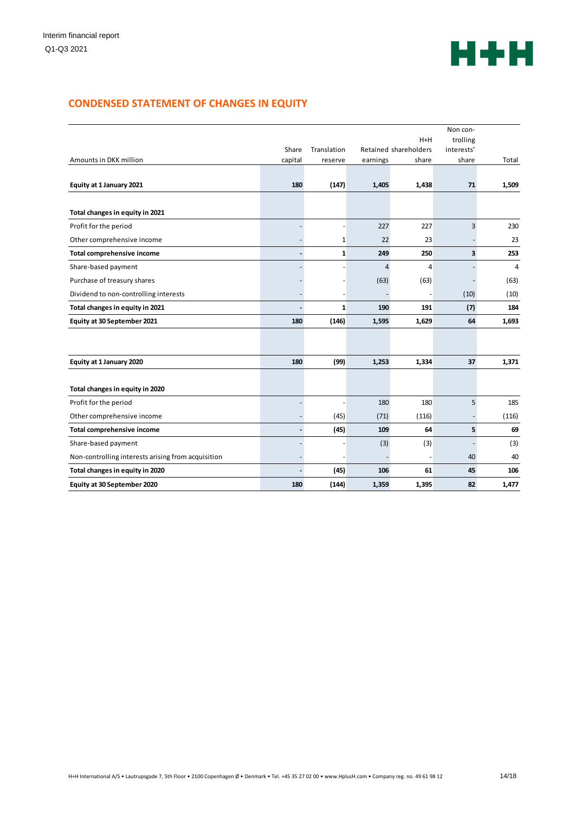

# **CONDENSED STATEMENT OF CHANGES IN EQUITY**

|                                                    |                              |              |                |                       | Non con-                |                |
|----------------------------------------------------|------------------------------|--------------|----------------|-----------------------|-------------------------|----------------|
|                                                    |                              |              |                | $H+H$                 | trolling                |                |
|                                                    | Share                        | Translation  |                | Retained shareholders | interests'              |                |
| Amounts in DKK million                             | capital                      | reserve      | earnings       | share                 | share                   | Total          |
| Equity at 1 January 2021                           | 180                          | (147)        | 1,405          | 1,438                 | 71                      | 1,509          |
| Total changes in equity in 2021                    |                              |              |                |                       |                         |                |
| Profit for the period                              |                              |              | 227            | 227                   | 3                       | 230            |
| Other comprehensive income                         |                              | 1            | 22             | 23                    |                         | 23             |
| <b>Total comprehensive income</b>                  | $\qquad \qquad \blacksquare$ | 1            | 249            | 250                   | $\overline{\mathbf{3}}$ | 253            |
| Share-based payment                                |                              |              | $\overline{4}$ | 4                     |                         | $\overline{4}$ |
| Purchase of treasury shares                        |                              |              | (63)           | (63)                  |                         | (63)           |
| Dividend to non-controlling interests              |                              |              |                |                       | (10)                    | (10)           |
| Total changes in equity in 2021                    | $\overline{\phantom{a}}$     | $\mathbf{1}$ | 190            | 191                   | (7)                     | 184            |
| Equity at 30 September 2021                        | 180                          | (146)        | 1,595          | 1,629                 | 64                      | 1,693          |
|                                                    |                              |              |                |                       |                         |                |
| Equity at 1 January 2020                           | 180                          | (99)         | 1,253          | 1,334                 | 37                      | 1,371          |
| Total changes in equity in 2020                    |                              |              |                |                       |                         |                |
| Profit for the period                              |                              |              | 180            | 180                   | 5                       | 185            |
| Other comprehensive income                         |                              | (45)         | (71)           | (116)                 |                         | (116)          |
| <b>Total comprehensive income</b>                  | $\blacksquare$               | (45)         | 109            | 64                    | 5                       | 69             |
| Share-based payment                                |                              |              | (3)            | (3)                   |                         | (3)            |
| Non-controlling interests arising from acquisition |                              |              |                |                       | 40                      | 40             |
| Total changes in equity in 2020                    | $\overline{\phantom{0}}$     | (45)         | 106            | 61                    | 45                      | 106            |
| Equity at 30 September 2020                        | 180                          | (144)        | 1,359          | 1,395                 | 82                      | 1,477          |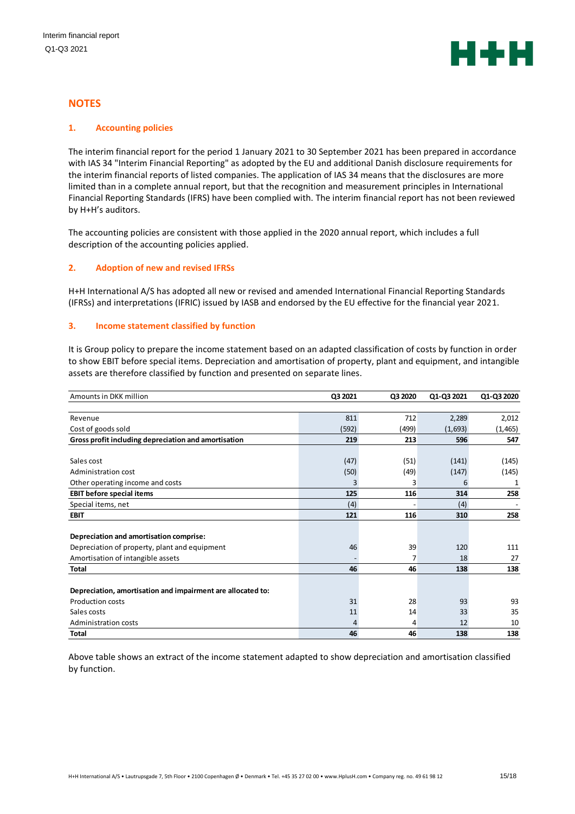

## **NOTES**

## **1. Accounting policies**

The interim financial report for the period 1 January 2021 to 30 September 2021 has been prepared in accordance with IAS 34 "Interim Financial Reporting" as adopted by the EU and additional Danish disclosure requirements for the interim financial reports of listed companies. The application of IAS 34 means that the disclosures are more limited than in a complete annual report, but that the recognition and measurement principles in International Financial Reporting Standards (IFRS) have been complied with. The interim financial report has not been reviewed by H+H's auditors.

The accounting policies are consistent with those applied in the 2020 annual report, which includes a full description of the accounting policies applied.

## **2. Adoption of new and revised IFRSs**

H+H International A/S has adopted all new or revised and amended International Financial Reporting Standards (IFRSs) and interpretations (IFRIC) issued by IASB and endorsed by the EU effective for the financial year 2021.

## **3. Income statement classified by function**

It is Group policy to prepare the income statement based on an adapted classification of costs by function in order to show EBIT before special items. Depreciation and amortisation of property, plant and equipment, and intangible assets are therefore classified by function and presented on separate lines.

| Amounts in DKK million                                      | Q3 2021 | Q3 2020 | Q1-Q3 2021 | Q1-Q3 2020 |
|-------------------------------------------------------------|---------|---------|------------|------------|
|                                                             |         |         |            |            |
| Revenue                                                     | 811     | 712     | 2,289      | 2,012      |
| Cost of goods sold                                          | (592)   | (499)   | (1,693)    | (1, 465)   |
| Gross profit including depreciation and amortisation        | 219     | 213     | 596        | 547        |
|                                                             |         |         |            |            |
| Sales cost                                                  | (47)    | (51)    | (141)      | (145)      |
| Administration cost                                         | (50)    | (49)    | (147)      | (145)      |
| Other operating income and costs                            | 3       | 3       | 6          | 1          |
| <b>EBIT before special items</b>                            | 125     | 116     | 314        | 258        |
| Special items, net                                          | (4)     |         | (4)        |            |
| <b>EBIT</b>                                                 | 121     | 116     | 310        | 258        |
|                                                             |         |         |            |            |
| Depreciation and amortisation comprise:                     |         |         |            |            |
| Depreciation of property, plant and equipment               | 46      | 39      | 120        | 111        |
| Amortisation of intangible assets                           |         | 7       | 18         | 27         |
| <b>Total</b>                                                | 46      | 46      | 138        | 138        |
|                                                             |         |         |            |            |
| Depreciation, amortisation and impairment are allocated to: |         |         |            |            |
| <b>Production costs</b>                                     | 31      | 28      | 93         | 93         |
| Sales costs                                                 | 11      | 14      | 33         | 35         |
| Administration costs                                        | 4       | 4       | 12         | 10         |
| <b>Total</b>                                                | 46      | 46      | 138        | 138        |

Above table shows an extract of the income statement adapted to show depreciation and amortisation classified by function.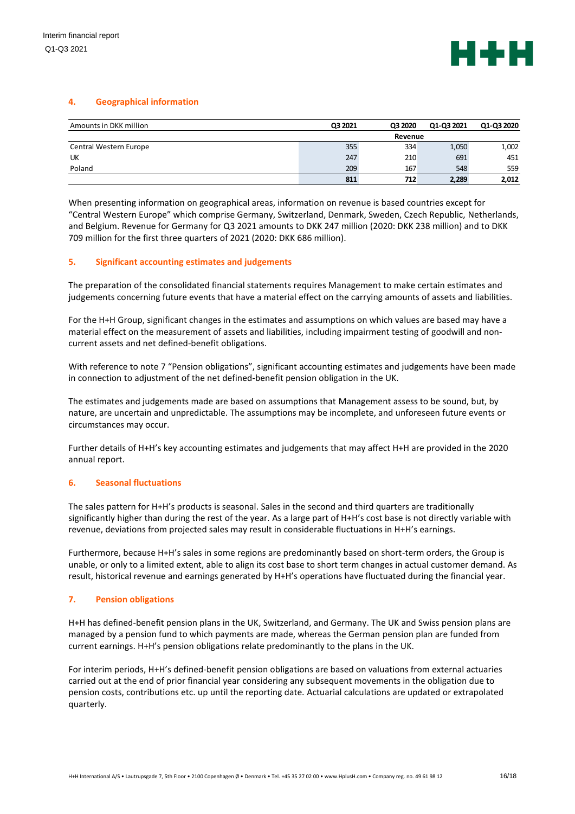

## **4. Geographical information**

| Amounts in DKK million | Q3 2021 | Q3 2020 | Q1-Q3 2021 | Q1-Q3 2020 |
|------------------------|---------|---------|------------|------------|
|                        |         | Revenue |            |            |
| Central Western Europe | 355     | 334     | 1,050      | 1,002      |
| UK                     | 247     | 210     | 691        | 451        |
| Poland                 | 209     | 167     | 548        | 559        |
|                        | 811     | 712     | 2,289      | 2,012      |

When presenting information on geographical areas, information on revenue is based countries except for "Central Western Europe" which comprise Germany, Switzerland, Denmark, Sweden, Czech Republic, Netherlands, and Belgium. Revenue for Germany for Q3 2021 amounts to DKK 247 million (2020: DKK 238 million) and to DKK 709 million for the first three quarters of 2021 (2020: DKK 686 million).

## **5. Significant accounting estimates and judgements**

The preparation of the consolidated financial statements requires Management to make certain estimates and judgements concerning future events that have a material effect on the carrying amounts of assets and liabilities.

For the H+H Group, significant changes in the estimates and assumptions on which values are based may have a material effect on the measurement of assets and liabilities, including impairment testing of goodwill and noncurrent assets and net defined-benefit obligations.

With reference to note 7 "Pension obligations", significant accounting estimates and judgements have been made in connection to adjustment of the net defined-benefit pension obligation in the UK.

The estimates and judgements made are based on assumptions that Management assess to be sound, but, by nature, are uncertain and unpredictable. The assumptions may be incomplete, and unforeseen future events or circumstances may occur.

Further details of H+H's key accounting estimates and judgements that may affect H+H are provided in the 2020 annual report.

#### **6. Seasonal fluctuations**

The sales pattern for H+H's products is seasonal. Sales in the second and third quarters are traditionally significantly higher than during the rest of the year. As a large part of H+H's cost base is not directly variable with revenue, deviations from projected sales may result in considerable fluctuations in H+H's earnings.

Furthermore, because H+H's sales in some regions are predominantly based on short-term orders, the Group is unable, or only to a limited extent, able to align its cost base to short term changes in actual customer demand. As result, historical revenue and earnings generated by H+H's operations have fluctuated during the financial year.

#### **7. Pension obligations**

H+H has defined-benefit pension plans in the UK, Switzerland, and Germany. The UK and Swiss pension plans are managed by a pension fund to which payments are made, whereas the German pension plan are funded from current earnings. H+H's pension obligations relate predominantly to the plans in the UK.

For interim periods, H+H's defined-benefit pension obligations are based on valuations from external actuaries carried out at the end of prior financial year considering any subsequent movements in the obligation due to pension costs, contributions etc. up until the reporting date. Actuarial calculations are updated or extrapolated quarterly.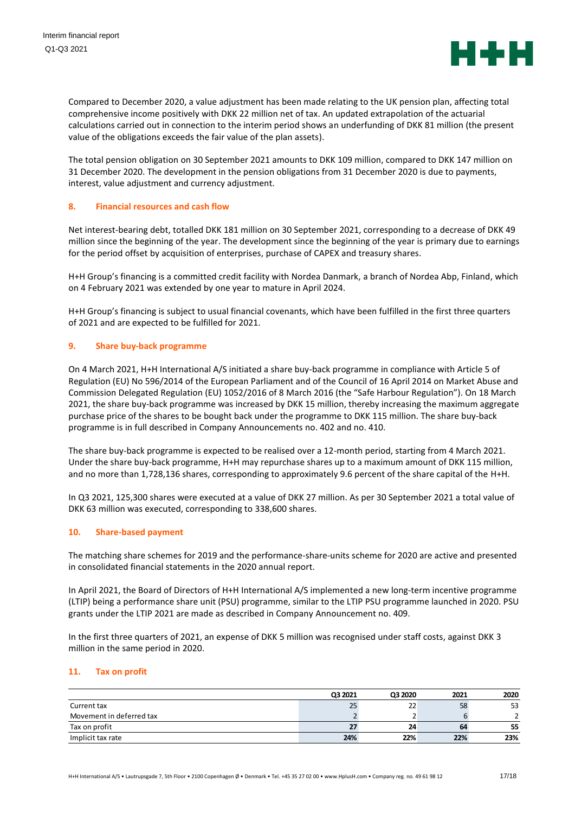

Compared to December 2020, a value adjustment has been made relating to the UK pension plan, affecting total comprehensive income positively with DKK 22 million net of tax. An updated extrapolation of the actuarial calculations carried out in connection to the interim period shows an underfunding of DKK 81 million (the present value of the obligations exceeds the fair value of the plan assets).

The total pension obligation on 30 September 2021 amounts to DKK 109 million, compared to DKK 147 million on 31 December 2020. The development in the pension obligations from 31 December 2020 is due to payments, interest, value adjustment and currency adjustment.

## **8. Financial resources and cash flow**

Net interest-bearing debt, totalled DKK 181 million on 30 September 2021, corresponding to a decrease of DKK 49 million since the beginning of the year. The development since the beginning of the year is primary due to earnings for the period offset by acquisition of enterprises, purchase of CAPEX and treasury shares.

H+H Group's financing is a committed credit facility with Nordea Danmark, a branch of Nordea Abp, Finland, which on 4 February 2021 was extended by one year to mature in April 2024.

H+H Group's financing is subject to usual financial covenants, which have been fulfilled in the first three quarters of 2021 and are expected to be fulfilled for 2021.

## **9. Share buy-back programme**

On 4 March 2021, H+H International A/S initiated a share buy-back programme in compliance with Article 5 of Regulation (EU) No 596/2014 of the European Parliament and of the Council of 16 April 2014 on Market Abuse and Commission Delegated Regulation (EU) 1052/2016 of 8 March 2016 (the "Safe Harbour Regulation"). On 18 March 2021, the share buy-back programme was increased by DKK 15 million, thereby increasing the maximum aggregate purchase price of the shares to be bought back under the programme to DKK 115 million. The share buy-back programme is in full described in Company Announcements no. 402 and no. 410.

The share buy-back programme is expected to be realised over a 12-month period, starting from 4 March 2021. Under the share buy-back programme, H+H may repurchase shares up to a maximum amount of DKK 115 million, and no more than 1,728,136 shares, corresponding to approximately 9.6 percent of the share capital of the H+H.

In Q3 2021, 125,300 shares were executed at a value of DKK 27 million. As per 30 September 2021 a total value of DKK 63 million was executed, corresponding to 338,600 shares.

## **10. Share-based payment**

The matching share schemes for 2019 and the performance-share-units scheme for 2020 are active and presented in consolidated financial statements in the 2020 annual report.

In April 2021, the Board of Directors of H+H International A/S implemented a new long-term incentive programme (LTIP) being a performance share unit (PSU) programme, similar to the LTIP PSU programme launched in 2020. PSU grants under the LTIP 2021 are made as described in Company Announcement no. 409.

In the first three quarters of 2021, an expense of DKK 5 million was recognised under staff costs, against DKK 3 million in the same period in 2020.

#### **11. Tax on profit**

|                          | Q3 2021 | Q3 2020 | 2021 | 2020 |
|--------------------------|---------|---------|------|------|
| Current tax              | 25      | 22      | 58   | 53   |
| Movement in deferred tax |         |         |      |      |
| Tax on profit            |         | 24      | 64   | 55   |
| Implicit tax rate        | 24%     | 22%     | 22%  | 23%  |